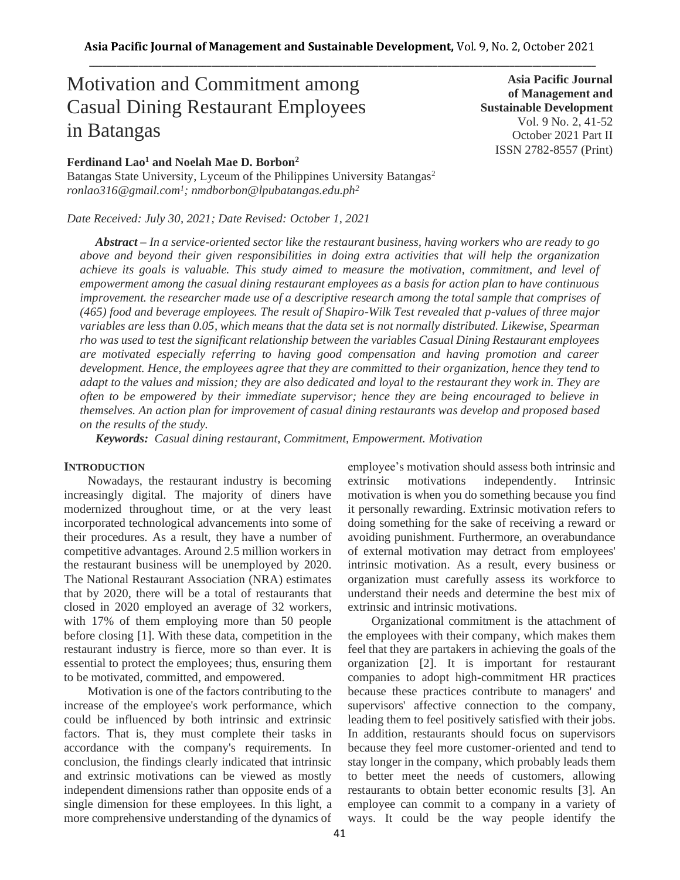# Motivation and Commitment among Casual Dining Restaurant Employees in Batangas

## **Ferdinand Lao<sup>1</sup> and Noelah Mae D. Borbon<sup>2</sup>**

Batangas State University, Lyceum of the Philippines University Batangas<sup>2</sup> *ronlao316@gmail.com<sup>1</sup> ; nmdborbon@lpubatangas.edu.ph<sup>2</sup>*

*Date Received: July 30, 2021; Date Revised: October 1, 2021*

*Abstract – In a service-oriented sector like the restaurant business, having workers who are ready to go above and beyond their given responsibilities in doing extra activities that will help the organization achieve its goals is valuable. This study aimed to measure the motivation, commitment, and level of empowerment among the casual dining restaurant employees as a basis for action plan to have continuous improvement. the researcher made use of a descriptive research among the total sample that comprises of (465) food and beverage employees. The result of Shapiro-Wilk Test revealed that p-values of three major variables are less than 0.05, which means that the data set is not normally distributed. Likewise, Spearman rho was used to test the significant relationship between the variables Casual Dining Restaurant employees are motivated especially referring to having good compensation and having promotion and career development. Hence, the employees agree that they are committed to their organization, hence they tend to adapt to the values and mission; they are also dedicated and loyal to the restaurant they work in. They are often to be empowered by their immediate supervisor; hence they are being encouraged to believe in themselves. An action plan for improvement of casual dining restaurants was develop and proposed based on the results of the study.*

*Keywords: Casual dining restaurant, Commitment, Empowerment. Motivation*

### **INTRODUCTION**

Nowadays, the restaurant industry is becoming increasingly digital. The majority of diners have modernized throughout time, or at the very least incorporated technological advancements into some of their procedures. As a result, they have a number of competitive advantages. Around 2.5 million workers in the restaurant business will be unemployed by 2020. The National Restaurant Association (NRA) estimates that by 2020, there will be a total of restaurants that closed in 2020 employed an average of 32 workers, with 17% of them employing more than 50 people before closing [1]. With these data, competition in the restaurant industry is fierce, more so than ever. It is essential to protect the employees; thus, ensuring them to be motivated, committed, and empowered.

Motivation is one of the factors contributing to the increase of the employee's work performance, which could be influenced by both intrinsic and extrinsic factors. That is, they must complete their tasks in accordance with the company's requirements. In conclusion, the findings clearly indicated that intrinsic and extrinsic motivations can be viewed as mostly independent dimensions rather than opposite ends of a single dimension for these employees. In this light, a more comprehensive understanding of the dynamics of employee's motivation should assess both intrinsic and extrinsic motivations independently. Intrinsic motivation is when you do something because you find it personally rewarding. Extrinsic motivation refers to doing something for the sake of receiving a reward or avoiding punishment. Furthermore, an overabundance of external motivation may detract from employees' intrinsic motivation. As a result, every business or organization must carefully assess its workforce to understand their needs and determine the best mix of extrinsic and intrinsic motivations.

Organizational commitment is the attachment of the employees with their company, which makes them feel that they are partakers in achieving the goals of the organization [2]. It is important for restaurant companies to adopt high-commitment HR practices because these practices contribute to managers' and supervisors' affective connection to the company, leading them to feel positively satisfied with their jobs. In addition, restaurants should focus on supervisors because they feel more customer-oriented and tend to stay longer in the company, which probably leads them to better meet the needs of customers, allowing restaurants to obtain better economic results [3]. An employee can commit to a company in a variety of ways. It could be the way people identify the

**Asia Pacific Journal of Management and Sustainable Development**  Vol. 9 No. 2, 41-52 October 2021 Part II ISSN 2782-8557 (Print)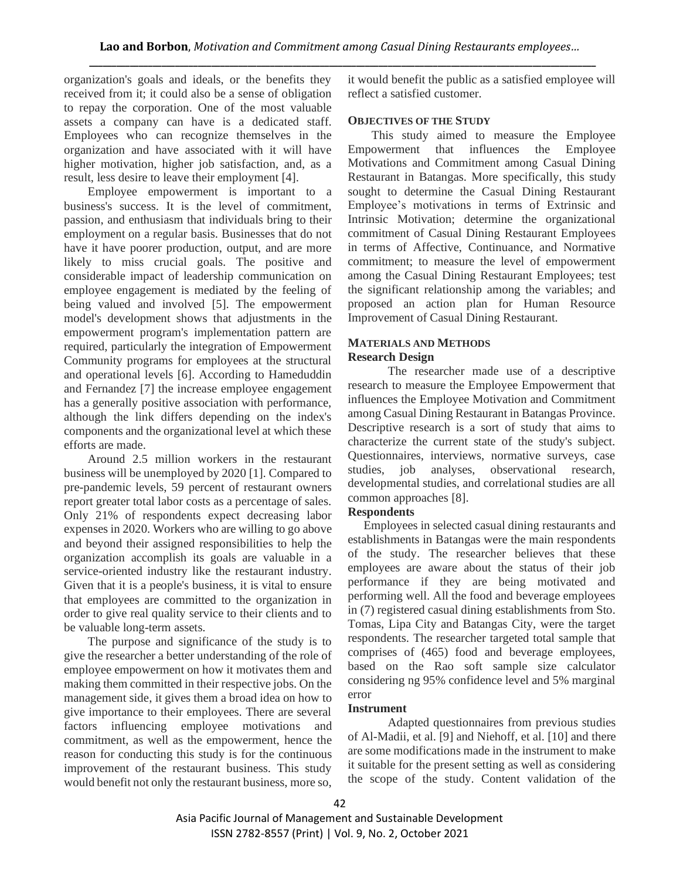organization's goals and ideals, or the benefits they received from it; it could also be a sense of obligation to repay the corporation. One of the most valuable assets a company can have is a dedicated staff. Employees who can recognize themselves in the organization and have associated with it will have higher motivation, higher job satisfaction, and, as a result, less desire to leave their employment [4].

Employee empowerment is important to a business's success. It is the level of commitment, passion, and enthusiasm that individuals bring to their employment on a regular basis. Businesses that do not have it have poorer production, output, and are more likely to miss crucial goals. The positive and considerable impact of leadership communication on employee engagement is mediated by the feeling of being valued and involved [5]. The empowerment model's development shows that adjustments in the empowerment program's implementation pattern are required, particularly the integration of Empowerment Community programs for employees at the structural and operational levels [6]. According to Hameduddin and Fernandez [7] the increase employee engagement has a generally positive association with performance, although the link differs depending on the index's components and the organizational level at which these efforts are made.

Around 2.5 million workers in the restaurant business will be unemployed by 2020 [1]. Compared to pre-pandemic levels, 59 percent of restaurant owners report greater total labor costs as a percentage of sales. Only 21% of respondents expect decreasing labor expenses in 2020. Workers who are willing to go above and beyond their assigned responsibilities to help the organization accomplish its goals are valuable in a service-oriented industry like the restaurant industry. Given that it is a people's business, it is vital to ensure that employees are committed to the organization in order to give real quality service to their clients and to be valuable long-term assets.

The purpose and significance of the study is to give the researcher a better understanding of the role of employee empowerment on how it motivates them and making them committed in their respective jobs. On the management side, it gives them a broad idea on how to give importance to their employees. There are several factors influencing employee motivations and commitment, as well as the empowerment, hence the reason for conducting this study is for the continuous improvement of the restaurant business. This study would benefit not only the restaurant business, more so, it would benefit the public as a satisfied employee will reflect a satisfied customer.

## **OBJECTIVES OF THE STUDY**

This study aimed to measure the Employee Empowerment that influences the Employee Motivations and Commitment among Casual Dining Restaurant in Batangas. More specifically, this study sought to determine the Casual Dining Restaurant Employee's motivations in terms of Extrinsic and Intrinsic Motivation; determine the organizational commitment of Casual Dining Restaurant Employees in terms of Affective, Continuance, and Normative commitment; to measure the level of empowerment among the Casual Dining Restaurant Employees; test the significant relationship among the variables; and proposed an action plan for Human Resource Improvement of Casual Dining Restaurant.

## **MATERIALS AND METHODS Research Design**

The researcher made use of a descriptive research to measure the Employee Empowerment that influences the Employee Motivation and Commitment among Casual Dining Restaurant in Batangas Province. Descriptive research is a sort of study that aims to characterize the current state of the study's subject. Questionnaires, interviews, normative surveys, case studies, job analyses, observational research, developmental studies, and correlational studies are all common approaches [8].

## **Respondents**

Employees in selected casual dining restaurants and establishments in Batangas were the main respondents of the study. The researcher believes that these employees are aware about the status of their job performance if they are being motivated and performing well. All the food and beverage employees in (7) registered casual dining establishments from Sto. Tomas, Lipa City and Batangas City, were the target respondents. The researcher targeted total sample that comprises of (465) food and beverage employees, based on the Rao soft sample size calculator considering ng 95% confidence level and 5% marginal error

## **Instrument**

Adapted questionnaires from previous studies of Al-Madii, et al. [9] and Niehoff, et al. [10] and there are some modifications made in the instrument to make it suitable for the present setting as well as considering the scope of the study. Content validation of the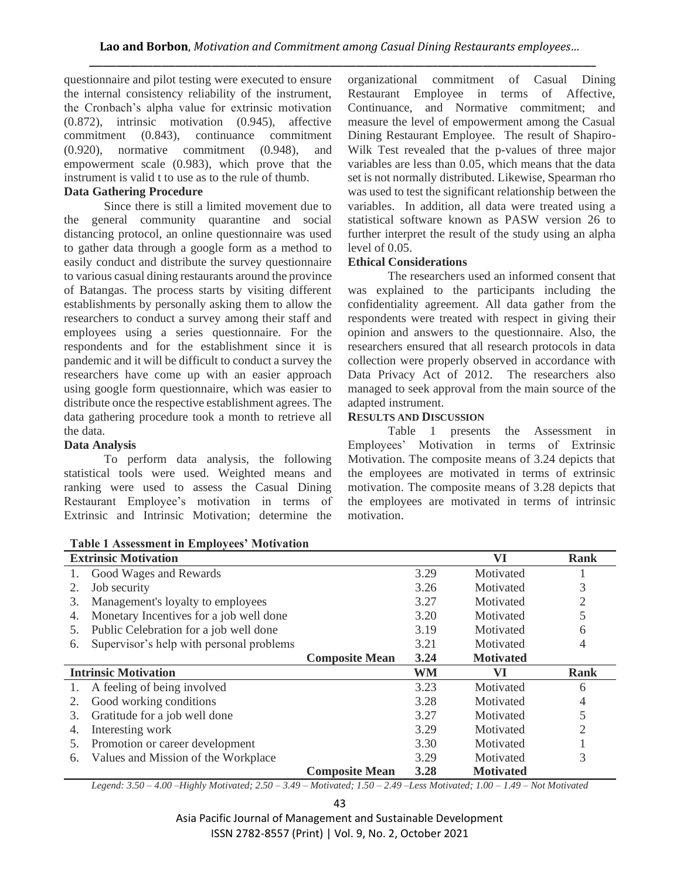questionnaire and pilot testing were executed to ensure the internal consistency reliability of the instrument, the Cronbach's alpha value for extrinsic motivation (0.872), intrinsic motivation (0.945), affective commitment (0.843), continuance commitment (0.920), normative commitment (0.948), and empowerment scale (0.983), which prove that the instrument is valid t to use as to the rule of thumb.

# **Data Gathering Procedure**

Since there is still a limited movement due to the general community quarantine and social distancing protocol, an online questionnaire was used to gather data through a google form as a method to easily conduct and distribute the survey questionnaire to various casual dining restaurants around the province of Batangas. The process starts by visiting different establishments by personally asking them to allow the researchers to conduct a survey among their staff and employees using a series questionnaire. For the respondents and for the establishment since it is pandemic and it will be difficult to conduct a survey the researchers have come up with an easier approach using google form questionnaire, which was easier to distribute once the respective establishment agrees. The data gathering procedure took a month to retrieve all the data.

## **Data Analysis**

To perform data analysis, the following statistical tools were used. Weighted means and ranking were used to assess the Casual Dining Restaurant Employee's motivation in terms of Extrinsic and Intrinsic Motivation; determine the

organizational commitment of Casual Dining Restaurant Employee in terms of Affective, Continuance, and Normative commitment; and measure the level of empowerment among the Casual Dining Restaurant Employee. The result of Shapiro-Wilk Test revealed that the p-values of three major variables are less than 0.05, which means that the data set is not normally distributed. Likewise, Spearman rho was used to test the significant relationship between the variables. In addition, all data were treated using a statistical software known as PASW version 26 to further interpret the result of the study using an alpha level of 0.05.

## **Ethical Considerations**

The researchers used an informed consent that was explained to the participants including the confidentiality agreement. All data gather from the respondents were treated with respect in giving their opinion and answers to the questionnaire. Also, the researchers ensured that all research protocols in data collection were properly observed in accordance with Data Privacy Act of 2012. The researchers also managed to seek approval from the main source of the adapted instrument.

## **RESULTS AND DISCUSSION**

Table 1 presents the Assessment in Employees' Motivation in terms of Extrinsic Motivation. The composite means of 3.24 depicts that the employees are motivated in terms of extrinsic motivation. The composite means of 3.28 depicts that the employees are motivated in terms of intrinsic motivation.

|    | <b>Table 1 Assessment in Employees' Mouvation</b> |                       |      |                  |             |
|----|---------------------------------------------------|-----------------------|------|------------------|-------------|
|    | <b>Extrinsic Motivation</b>                       |                       |      | VI               | Rank        |
|    | Good Wages and Rewards                            |                       | 3.29 | Motivated        |             |
| 2. | Job security                                      |                       | 3.26 | Motivated        | 3           |
| 3. | Management's loyalty to employees                 |                       | 3.27 | Motivated        | 2           |
| 4. | Monetary Incentives for a job well done           |                       | 3.20 | Motivated        | 5           |
| 5. | Public Celebration for a job well done            |                       | 3.19 | Motivated        | 6           |
| 6. | Supervisor's help with personal problems          |                       | 3.21 | Motivated        | 4           |
|    |                                                   | <b>Composite Mean</b> | 3.24 | <b>Motivated</b> |             |
|    | <b>Intrinsic Motivation</b>                       |                       | WM   | VI               | <b>Rank</b> |
|    | A feeling of being involved                       |                       | 3.23 | Motivated        | 6           |
| 2. | Good working conditions                           |                       | 3.28 | Motivated        | 4           |
| 3. | Gratitude for a job well done                     |                       | 3.27 | Motivated        | 5           |
| 4. | Interesting work                                  |                       | 3.29 | Motivated        | 2           |
| 5. | Promotion or career development                   |                       | 3.30 | Motivated        |             |
| 6. | Values and Mission of the Workplace               |                       | 3.29 | Motivated        | 3           |
|    |                                                   | <b>Composite Mean</b> | 3.28 | <b>Motivated</b> |             |

**Table 1 Assessment in Employees' Motivation**

*Legend: 3.50 – 4.00 –Highly Motivated; 2.50 – 3.49 – Motivated; 1.50 – 2.49 –Less Motivated; 1.00 – 1.49 – Not Motivated*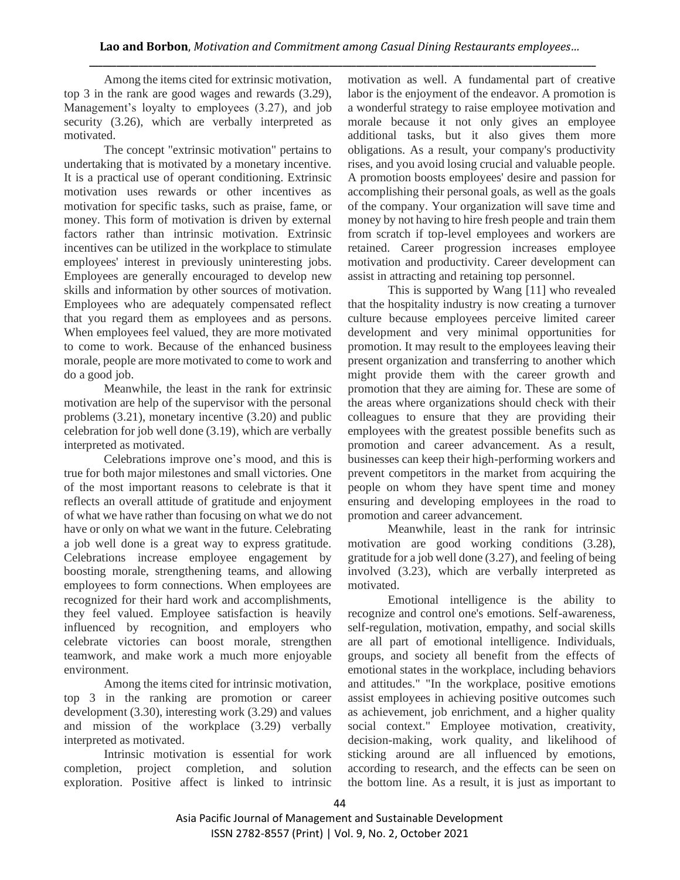Among the items cited for extrinsic motivation, top 3 in the rank are good wages and rewards (3.29), Management's loyalty to employees (3.27), and job security (3.26), which are verbally interpreted as motivated.

The concept "extrinsic motivation" pertains to undertaking that is motivated by a monetary incentive. It is a practical use of operant conditioning. Extrinsic motivation uses rewards or other incentives as motivation for specific tasks, such as praise, fame, or money. This form of motivation is driven by external factors rather than intrinsic motivation. Extrinsic incentives can be utilized in the workplace to stimulate employees' interest in previously uninteresting jobs. Employees are generally encouraged to develop new skills and information by other sources of motivation. Employees who are adequately compensated reflect that you regard them as employees and as persons. When employees feel valued, they are more motivated to come to work. Because of the enhanced business morale, people are more motivated to come to work and do a good job.

Meanwhile, the least in the rank for extrinsic motivation are help of the supervisor with the personal problems (3.21), monetary incentive (3.20) and public celebration for job well done (3.19), which are verbally interpreted as motivated.

Celebrations improve one's mood, and this is true for both major milestones and small victories. One of the most important reasons to celebrate is that it reflects an overall attitude of gratitude and enjoyment of what we have rather than focusing on what we do not have or only on what we want in the future. Celebrating a job well done is a great way to express gratitude. Celebrations increase employee engagement by boosting morale, strengthening teams, and allowing employees to form connections. When employees are recognized for their hard work and accomplishments, they feel valued. Employee satisfaction is heavily influenced by recognition, and employers who celebrate victories can boost morale, strengthen teamwork, and make work a much more enjoyable environment.

Among the items cited for intrinsic motivation, top 3 in the ranking are promotion or career development (3.30), interesting work (3.29) and values and mission of the workplace (3.29) verbally interpreted as motivated.

Intrinsic motivation is essential for work completion, project completion, and solution exploration. Positive affect is linked to intrinsic

motivation as well. A fundamental part of creative labor is the enjoyment of the endeavor. A promotion is a wonderful strategy to raise employee motivation and morale because it not only gives an employee additional tasks, but it also gives them more obligations. As a result, your company's productivity rises, and you avoid losing crucial and valuable people. A promotion boosts employees' desire and passion for accomplishing their personal goals, as well as the goals of the company. Your organization will save time and money by not having to hire fresh people and train them from scratch if top-level employees and workers are retained. Career progression increases employee motivation and productivity. Career development can assist in attracting and retaining top personnel.

This is supported by Wang [11] who revealed that the hospitality industry is now creating a turnover culture because employees perceive limited career development and very minimal opportunities for promotion. It may result to the employees leaving their present organization and transferring to another which might provide them with the career growth and promotion that they are aiming for. These are some of the areas where organizations should check with their colleagues to ensure that they are providing their employees with the greatest possible benefits such as promotion and career advancement. As a result, businesses can keep their high-performing workers and prevent competitors in the market from acquiring the people on whom they have spent time and money ensuring and developing employees in the road to promotion and career advancement.

Meanwhile, least in the rank for intrinsic motivation are good working conditions (3.28), gratitude for a job well done (3.27), and feeling of being involved (3.23), which are verbally interpreted as motivated.

Emotional intelligence is the ability to recognize and control one's emotions. Self-awareness, self-regulation, motivation, empathy, and social skills are all part of emotional intelligence. Individuals, groups, and society all benefit from the effects of emotional states in the workplace, including behaviors and attitudes." "In the workplace, positive emotions assist employees in achieving positive outcomes such as achievement, job enrichment, and a higher quality social context." Employee motivation, creativity, decision-making, work quality, and likelihood of sticking around are all influenced by emotions, according to research, and the effects can be seen on the bottom line. As a result, it is just as important to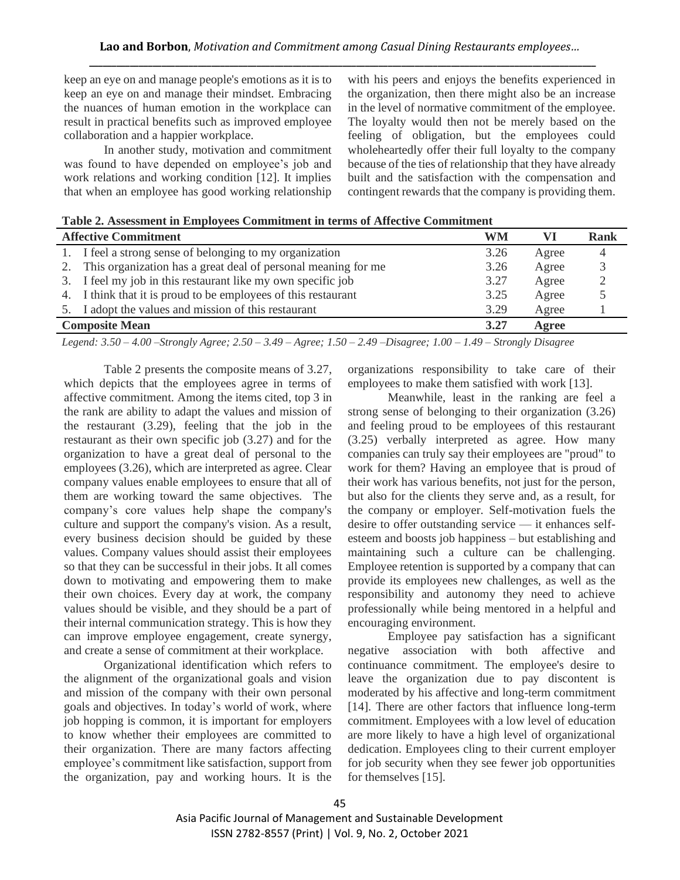keep an eye on and manage people's emotions as it is to keep an eye on and manage their mindset. Embracing the nuances of human emotion in the workplace can result in practical benefits such as improved employee collaboration and a happier workplace.

In another study, motivation and commitment was found to have depended on employee's job and work relations and working condition [12]. It implies that when an employee has good working relationship

with his peers and enjoys the benefits experienced in the organization, then there might also be an increase in the level of normative commitment of the employee. The loyalty would then not be merely based on the feeling of obligation, but the employees could wholeheartedly offer their full loyalty to the company because of the ties of relationship that they have already built and the satisfaction with the compensation and contingent rewards that the company is providing them.

|  | Table 2. Assessment in Employees Commitment in terms of Affective Commitment |
|--|------------------------------------------------------------------------------|
|--|------------------------------------------------------------------------------|

|                               | <b>Affective Commitment</b>                                    | WM   |       | Rank |
|-------------------------------|----------------------------------------------------------------|------|-------|------|
|                               | 1. I feel a strong sense of belonging to my organization       | 3.26 | Agree |      |
| 2.                            | This organization has a great deal of personal meaning for me  | 3.26 | Agree |      |
|                               | 3. I feel my job in this restaurant like my own specific job   | 3.27 | Agree |      |
|                               | 4. I think that it is proud to be employees of this restaurant | 3.25 | Agree |      |
|                               | 5. I adopt the values and mission of this restaurant           | 3.29 | Agree |      |
| <b>Composite Mean</b><br>3.27 |                                                                |      | Agree |      |

*Legend: 3.50 – 4.00 –Strongly Agree; 2.50 – 3.49 – Agree; 1.50 – 2.49 –Disagree; 1.00 – 1.49 – Strongly Disagree*

Table 2 presents the composite means of 3.27, which depicts that the employees agree in terms of affective commitment. Among the items cited, top 3 in the rank are ability to adapt the values and mission of the restaurant (3.29), feeling that the job in the restaurant as their own specific job (3.27) and for the organization to have a great deal of personal to the employees (3.26), which are interpreted as agree. Clear company values enable employees to ensure that all of them are working toward the same objectives. The company's core values help shape the company's culture and support the company's vision. As a result, every business decision should be guided by these values. Company values should assist their employees so that they can be successful in their jobs. It all comes down to motivating and empowering them to make their own choices. Every day at work, the company values should be visible, and they should be a part of their internal communication strategy. This is how they can improve employee engagement, create synergy, and create a sense of commitment at their workplace.

Organizational identification which refers to the alignment of the organizational goals and vision and mission of the company with their own personal goals and objectives. In today's world of work, where job hopping is common, it is important for employers to know whether their employees are committed to their organization. There are many factors affecting employee's commitment like satisfaction, support from the organization, pay and working hours. It is the organizations responsibility to take care of their employees to make them satisfied with work [13].

Meanwhile, least in the ranking are feel a strong sense of belonging to their organization (3.26) and feeling proud to be employees of this restaurant (3.25) verbally interpreted as agree. How many companies can truly say their employees are "proud" to work for them? Having an employee that is proud of their work has various benefits, not just for the person, but also for the clients they serve and, as a result, for the company or employer. Self-motivation fuels the desire to offer outstanding service — it enhances selfesteem and boosts job happiness – but establishing and maintaining such a culture can be challenging. Employee retention is supported by a company that can provide its employees new challenges, as well as the responsibility and autonomy they need to achieve professionally while being mentored in a helpful and encouraging environment.

Employee pay satisfaction has a significant negative association with both affective and continuance commitment. The employee's desire to leave the organization due to pay discontent is moderated by his affective and long-term commitment [14]. There are other factors that influence long-term commitment. Employees with a low level of education are more likely to have a high level of organizational dedication. Employees cling to their current employer for job security when they see fewer job opportunities for themselves [15].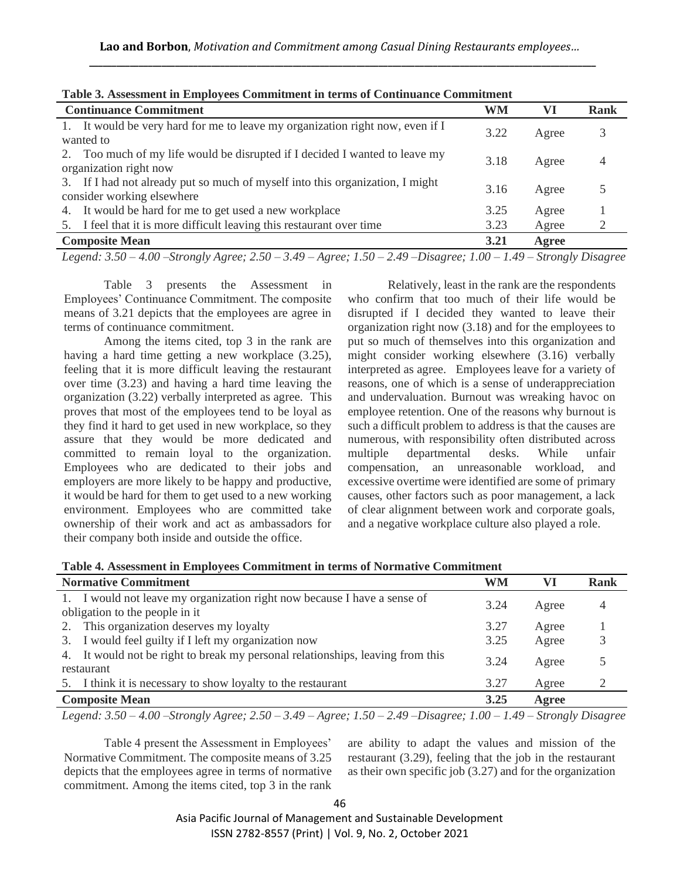| <b>Continuance Commitment</b>                                                                               | WM   | VI    | Rank |  |
|-------------------------------------------------------------------------------------------------------------|------|-------|------|--|
| It would be very hard for me to leave my organization right now, even if I<br>wanted to                     | 3.22 | Agree |      |  |
| Too much of my life would be disrupted if I decided I wanted to leave my<br>organization right now          | 3.18 | Agree |      |  |
| 3. If I had not already put so much of myself into this organization, I might<br>consider working elsewhere | 3.16 | Agree |      |  |
| It would be hard for me to get used a new workplace<br>4.                                                   | 3.25 | Agree |      |  |
| 5. I feel that it is more difficult leaving this restaurant over time                                       | 3.23 | Agree |      |  |
| <b>Composite Mean</b><br>3.21<br>Agree                                                                      |      |       |      |  |
| $\sim$ $\sim$ $\sim$ $\sim$ $\sim$<br>$\sim$ $\sim$ $\sim$ $\sim$ $\sim$                                    |      |       |      |  |

*Legend: 3.50 – 4.00 –Strongly Agree; 2.50 – 3.49 – Agree; 1.50 – 2.49 –Disagree; 1.00 – 1.49 – Strongly Disagree*

Table 3 presents the Assessment in Employees' Continuance Commitment. The composite means of 3.21 depicts that the employees are agree in terms of continuance commitment.

Among the items cited, top 3 in the rank are having a hard time getting a new workplace (3.25), feeling that it is more difficult leaving the restaurant over time (3.23) and having a hard time leaving the organization (3.22) verbally interpreted as agree. This proves that most of the employees tend to be loyal as they find it hard to get used in new workplace, so they assure that they would be more dedicated and committed to remain loyal to the organization. Employees who are dedicated to their jobs and employers are more likely to be happy and productive, it would be hard for them to get used to a new working environment. Employees who are committed take ownership of their work and act as ambassadors for their company both inside and outside the office.

Relatively, least in the rank are the respondents who confirm that too much of their life would be disrupted if I decided they wanted to leave their organization right now (3.18) and for the employees to put so much of themselves into this organization and might consider working elsewhere (3.16) verbally interpreted as agree. Employees leave for a variety of reasons, one of which is a sense of underappreciation and undervaluation. Burnout was wreaking havoc on employee retention. One of the reasons why burnout is such a difficult problem to address is that the causes are numerous, with responsibility often distributed across multiple departmental desks. While unfair compensation, an unreasonable workload, and excessive overtime were identified are some of primary causes, other factors such as poor management, a lack of clear alignment between work and corporate goals, and a negative workplace culture also played a role.

| Table 4. Assessment in Employees Commitment in terms of Normative Commitment |  |  |  |
|------------------------------------------------------------------------------|--|--|--|
|------------------------------------------------------------------------------|--|--|--|

| <b>Normative Commitment</b>                                                                                | WM   | VI    | Rank |
|------------------------------------------------------------------------------------------------------------|------|-------|------|
| 1. I would not leave my organization right now because I have a sense of<br>obligation to the people in it | 3.24 | Agree |      |
| 2. This organization deserves my loyalty                                                                   | 3.27 | Agree |      |
| 3. I would feel guilty if I left my organization now                                                       | 3.25 | Agree |      |
| 4. It would not be right to break my personal relationships, leaving from this<br>restaurant               | 3.24 | Agree |      |
| 5. I think it is necessary to show loyalty to the restaurant                                               | 3.27 | Agree |      |
| <b>Composite Mean</b>                                                                                      | 3.25 | Agree |      |
| $\sim$ $\sim$ $\sim$ $\sim$ $\sim$ $\sim$<br>$\sim$ $\sim$ $\sim$<br>_________________                     |      |       |      |

*Legend: 3.50 – 4.00 –Strongly Agree; 2.50 – 3.49 – Agree; 1.50 – 2.49 –Disagree; 1.00 – 1.49 – Strongly Disagree*

Table 4 present the Assessment in Employees' Normative Commitment. The composite means of 3.25 depicts that the employees agree in terms of normative commitment. Among the items cited, top 3 in the rank are ability to adapt the values and mission of the restaurant (3.29), feeling that the job in the restaurant as their own specific job (3.27) and for the organization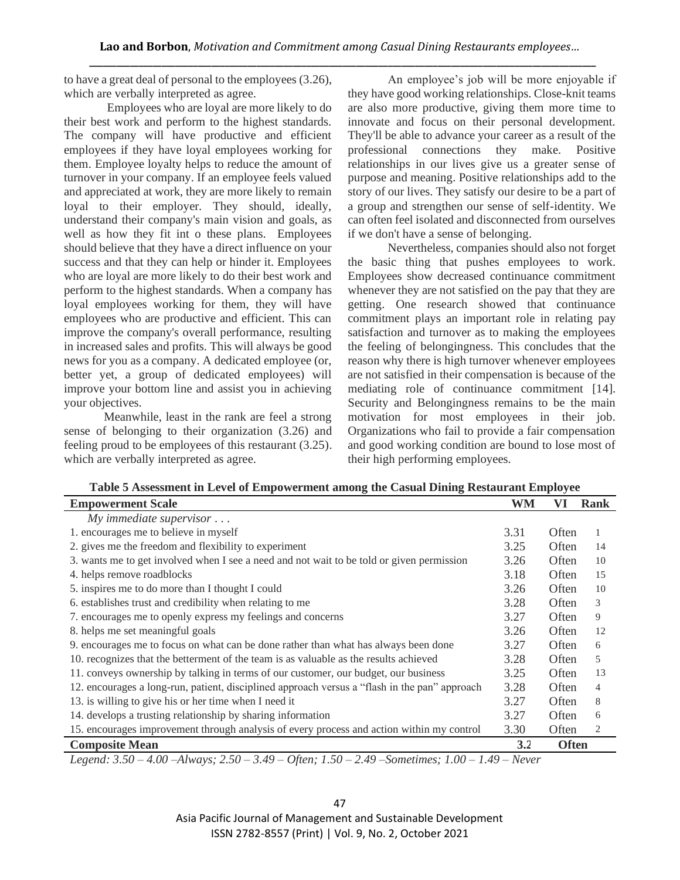to have a great deal of personal to the employees (3.26), which are verbally interpreted as agree.

Employees who are loyal are more likely to do their best work and perform to the highest standards. The company will have productive and efficient employees if they have loyal employees working for them. Employee loyalty helps to reduce the amount of turnover in your company. If an employee feels valued and appreciated at work, they are more likely to remain loyal to their employer. They should, ideally, understand their company's main vision and goals, as well as how they fit int o these plans. Employees should believe that they have a direct influence on your success and that they can help or hinder it. Employees who are loyal are more likely to do their best work and perform to the highest standards. When a company has loyal employees working for them, they will have employees who are productive and efficient. This can improve the company's overall performance, resulting in increased sales and profits. This will always be good news for you as a company. A dedicated employee (or, better yet, a group of dedicated employees) will improve your bottom line and assist you in achieving your objectives.

Meanwhile, least in the rank are feel a strong sense of belonging to their organization (3.26) and feeling proud to be employees of this restaurant (3.25). which are verbally interpreted as agree.

An employee's job will be more enjoyable if they have good working relationships. Close-knit teams are also more productive, giving them more time to innovate and focus on their personal development. They'll be able to advance your career as a result of the professional connections they make. Positive relationships in our lives give us a greater sense of purpose and meaning. Positive relationships add to the story of our lives. They satisfy our desire to be a part of a group and strengthen our sense of self-identity. We can often feel isolated and disconnected from ourselves if we don't have a sense of belonging.

Nevertheless, companies should also not forget the basic thing that pushes employees to work. Employees show decreased continuance commitment whenever they are not satisfied on the pay that they are getting. One research showed that continuance commitment plays an important role in relating pay satisfaction and turnover as to making the employees the feeling of belongingness. This concludes that the reason why there is high turnover whenever employees are not satisfied in their compensation is because of the mediating role of continuance commitment [14]. Security and Belongingness remains to be the main motivation for most employees in their job. Organizations who fail to provide a fair compensation and good working condition are bound to lose most of their high performing employees.

| Table 5 Assessment in Level of Empowerment among the Casual Dining Restaurant Employee |  |  |
|----------------------------------------------------------------------------------------|--|--|
|                                                                                        |  |  |
|                                                                                        |  |  |

| <b>Empowerment Scale</b>                                                                      | WM   | VI           | Rank |
|-----------------------------------------------------------------------------------------------|------|--------------|------|
| $My$ immediate supervisor $\dots$                                                             |      |              |      |
| 1. encourages me to believe in myself                                                         | 3.31 | Often        | 1    |
| 2. gives me the freedom and flexibility to experiment                                         | 3.25 | Often        | 14   |
| 3. wants me to get involved when I see a need and not wait to be told or given permission     | 3.26 | Often        | 10   |
| 4. helps remove roadblocks                                                                    | 3.18 | Often        | 15   |
| 5. inspires me to do more than I thought I could                                              | 3.26 | Often        | 10   |
| 6. establishes trust and credibility when relating to me                                      | 3.28 | Often        | 3    |
| 7. encourages me to openly express my feelings and concerns                                   | 3.27 | Often        | 9    |
| 8. helps me set meaningful goals                                                              | 3.26 | Often        | 12   |
| 9. encourages me to focus on what can be done rather than what has always been done           | 3.27 | Often        | 6    |
| 10. recognizes that the betterment of the team is as valuable as the results achieved         | 3.28 | Often        | 5    |
| 11. conveys ownership by talking in terms of our customer, our budget, our business           | 3.25 | Often        | 13   |
| 12. encourages a long-run, patient, disciplined approach versus a "flash in the pan" approach | 3.28 | Often        | 4    |
| 13. is willing to give his or her time when I need it                                         | 3.27 | Often        | 8    |
| 14. develops a trusting relationship by sharing information                                   | 3.27 | Often        | 6    |
| 15. encourages improvement through analysis of every process and action within my control     | 3.30 | Often        | 2    |
| <b>Composite Mean</b>                                                                         | 3.2  | <b>Often</b> |      |

*Legend: 3.50 – 4.00 –Always; 2.50 – 3.49 – Often; 1.50 – 2.49 –Sometimes; 1.00 – 1.49 – Never*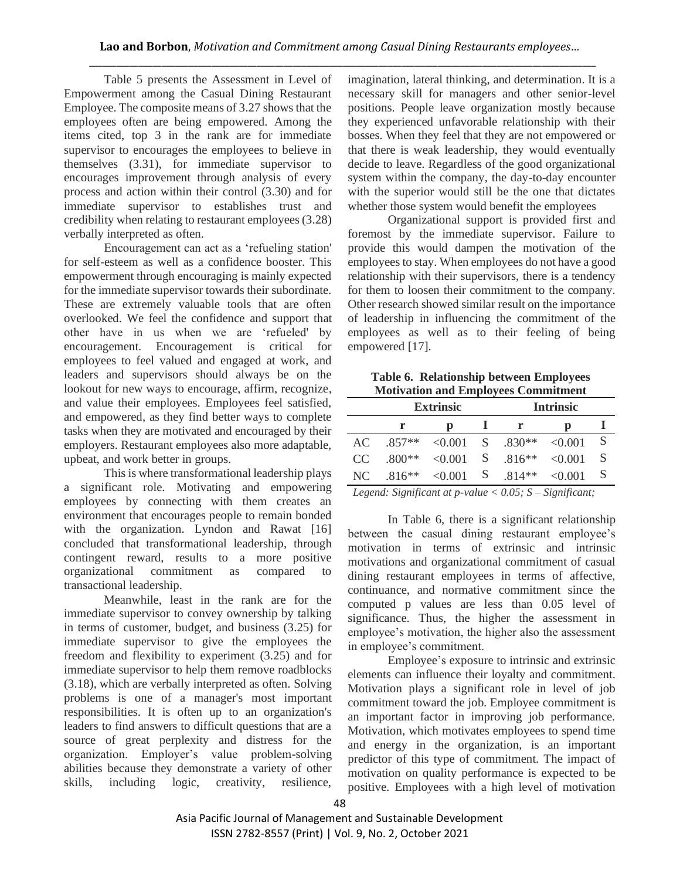Table 5 presents the Assessment in Level of Empowerment among the Casual Dining Restaurant Employee. The composite means of 3.27 shows that the employees often are being empowered. Among the items cited, top 3 in the rank are for immediate supervisor to encourages the employees to believe in themselves (3.31), for immediate supervisor to encourages improvement through analysis of every process and action within their control (3.30) and for immediate supervisor to establishes trust and credibility when relating to restaurant employees (3.28) verbally interpreted as often.

Encouragement can act as a 'refueling station' for self-esteem as well as a confidence booster. This empowerment through encouraging is mainly expected for the immediate supervisor towards their subordinate. These are extremely valuable tools that are often overlooked. We feel the confidence and support that other have in us when we are 'refueled' by encouragement. Encouragement is critical for employees to feel valued and engaged at work, and leaders and supervisors should always be on the lookout for new ways to encourage, affirm, recognize, and value their employees. Employees feel satisfied, and empowered, as they find better ways to complete tasks when they are motivated and encouraged by their employers. Restaurant employees also more adaptable, upbeat, and work better in groups.

This is where transformational leadership plays a significant role. Motivating and empowering employees by connecting with them creates an environment that encourages people to remain bonded with the organization. Lyndon and Rawat [16] concluded that transformational leadership, through contingent reward, results to a more positive organizational commitment as compared to transactional leadership.

Meanwhile, least in the rank are for the immediate supervisor to convey ownership by talking in terms of customer, budget, and business (3.25) for immediate supervisor to give the employees the freedom and flexibility to experiment (3.25) and for immediate supervisor to help them remove roadblocks (3.18), which are verbally interpreted as often. Solving problems is one of a manager's most important responsibilities. It is often up to an organization's leaders to find answers to difficult questions that are a source of great perplexity and distress for the organization. Employer's value problem-solving abilities because they demonstrate a variety of other skills, including logic, creativity, resilience,

imagination, lateral thinking, and determination. It is a necessary skill for managers and other senior-level positions. People leave organization mostly because they experienced unfavorable relationship with their bosses. When they feel that they are not empowered or that there is weak leadership, they would eventually decide to leave. Regardless of the good organizational system within the company, the day-to-day encounter with the superior would still be the one that dictates whether those system would benefit the employees

Organizational support is provided first and foremost by the immediate supervisor. Failure to provide this would dampen the motivation of the employees to stay. When employees do not have a good relationship with their supervisors, there is a tendency for them to loosen their commitment to the company. Other research showed similar result on the importance of leadership in influencing the commitment of the employees as well as to their feeling of being empowered [17].

**Table 6. Relationship between Employees Motivation and Employees Commitment**

|     | <b>Extrinsic</b> |         |   |             | <b>Intrinsic</b> |    |
|-----|------------------|---------|---|-------------|------------------|----|
|     | r                | р       |   |             | р                |    |
| AC. | $.857**$         | < 0.001 |   | $S = 830**$ | $\leq 0.001$     | -S |
| CC. | $.800**$         | < 0.001 | S | $.816**$    | < 0.001          | -S |
| NC. | $.816**$         | < 0.001 | S | 814**       | < 0.001          | S  |

*Legend: Significant at p-value < 0.05; S – Significant;* 

In Table 6, there is a significant relationship between the casual dining restaurant employee's motivation in terms of extrinsic and intrinsic motivations and organizational commitment of casual dining restaurant employees in terms of affective, continuance, and normative commitment since the computed p values are less than 0.05 level of significance. Thus, the higher the assessment in employee's motivation, the higher also the assessment in employee's commitment.

Employee's exposure to intrinsic and extrinsic elements can influence their loyalty and commitment. Motivation plays a significant role in level of job commitment toward the job. Employee commitment is an important factor in improving job performance. Motivation, which motivates employees to spend time and energy in the organization, is an important predictor of this type of commitment. The impact of motivation on quality performance is expected to be positive. Employees with a high level of motivation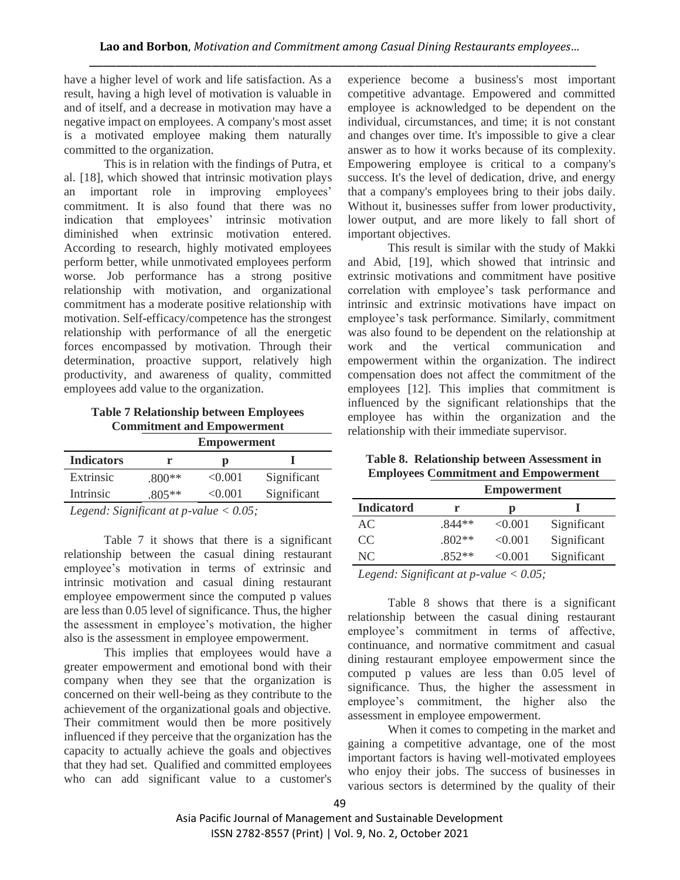have a higher level of work and life satisfaction. As a result, having a high level of motivation is valuable in and of itself, and a decrease in motivation may have a negative impact on employees. A company's most asset is a motivated employee making them naturally committed to the organization.

This is in relation with the findings of Putra, et al. [18], which showed that intrinsic motivation plays an important role in improving employees' commitment. It is also found that there was no indication that employees' intrinsic motivation diminished when extrinsic motivation entered. According to research, highly motivated employees perform better, while unmotivated employees perform worse. Job performance has a strong positive relationship with motivation, and organizational commitment has a moderate positive relationship with motivation. Self-efficacy/competence has the strongest relationship with performance of all the energetic forces encompassed by motivation. Through their determination, proactive support, relatively high productivity, and awareness of quality, committed employees add value to the organization.

**Table 7 Relationship between Employees Commitment and Empowerment**

|                                                 |          | <b>Empowerment</b> |             |  |  |
|-------------------------------------------------|----------|--------------------|-------------|--|--|
| <b>Indicators</b>                               |          |                    |             |  |  |
| Extrinsic                                       | $.800**$ | < 0.001            | Significant |  |  |
| Intrinsic                                       | $.805**$ | < 0.001            | Significant |  |  |
| $I \quad I \quad C \quad C$ $I \quad A \quad C$ |          |                    |             |  |  |

*Legend: Significant at p-value < 0.05;* 

Table 7 it shows that there is a significant relationship between the casual dining restaurant employee's motivation in terms of extrinsic and intrinsic motivation and casual dining restaurant employee empowerment since the computed p values are less than 0.05 level of significance. Thus, the higher the assessment in employee's motivation, the higher also is the assessment in employee empowerment.

This implies that employees would have a greater empowerment and emotional bond with their company when they see that the organization is concerned on their well-being as they contribute to the achievement of the organizational goals and objective. Their commitment would then be more positively influenced if they perceive that the organization has the capacity to actually achieve the goals and objectives that they had set. Qualified and committed employees who can add significant value to a customer's experience become a business's most important competitive advantage. Empowered and committed employee is acknowledged to be dependent on the individual, circumstances, and time; it is not constant and changes over time. It's impossible to give a clear answer as to how it works because of its complexity. Empowering employee is critical to a company's success. It's the level of dedication, drive, and energy that a company's employees bring to their jobs daily. Without it, businesses suffer from lower productivity, lower output, and are more likely to fall short of important objectives.

This result is similar with the study of Makki and Abid, [19], which showed that intrinsic and extrinsic motivations and commitment have positive correlation with employee's task performance and intrinsic and extrinsic motivations have impact on employee's task performance. Similarly, commitment was also found to be dependent on the relationship at work and the vertical communication and empowerment within the organization. The indirect compensation does not affect the commitment of the employees [12]. This implies that commitment is influenced by the significant relationships that the employee has within the organization and the relationship with their immediate supervisor.

**Table 8. Relationship between Assessment in Employees Commitment and Empowerment**

|                   | <b>Empowerment</b> |         |             |  |  |
|-------------------|--------------------|---------|-------------|--|--|
| <b>Indicatord</b> | r                  | р       |             |  |  |
| AC                | $.844**$           | < 0.001 | Significant |  |  |
| CC.               | $.802**$           | < 0.001 | Significant |  |  |
| NC                | $.852**$           | < 0.001 | Significant |  |  |

*Legend: Significant at p-value < 0.05;* 

Table 8 shows that there is a significant relationship between the casual dining restaurant employee's commitment in terms of affective, continuance, and normative commitment and casual dining restaurant employee empowerment since the computed p values are less than 0.05 level of significance. Thus, the higher the assessment in employee's commitment, the higher also the assessment in employee empowerment.

When it comes to competing in the market and gaining a competitive advantage, one of the most important factors is having well-motivated employees who enjoy their jobs. The success of businesses in various sectors is determined by the quality of their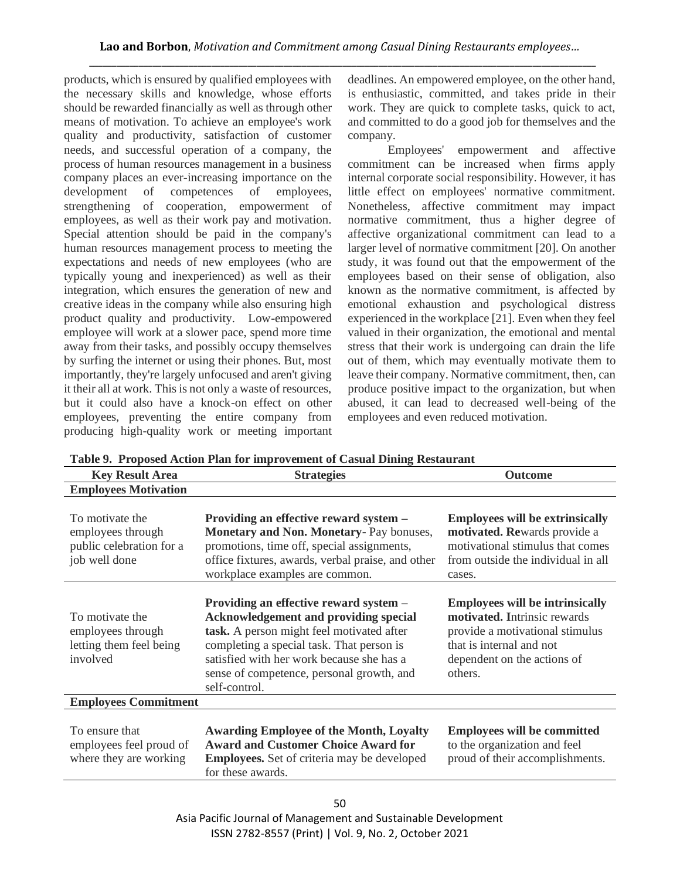products, which is ensured by qualified employees with the necessary skills and knowledge, whose efforts should be rewarded financially as well as through other means of motivation. To achieve an employee's work quality and productivity, satisfaction of customer needs, and successful operation of a company, the process of human resources management in a business company places an ever-increasing importance on the development of competences of employees. development of competences of strengthening of cooperation, empowerment of employees, as well as their work pay and motivation. Special attention should be paid in the company's human resources management process to meeting the expectations and needs of new employees (who are typically young and inexperienced) as well as their integration, which ensures the generation of new and creative ideas in the company while also ensuring high product quality and productivity. Low-empowered employee will work at a slower pace, spend more time away from their tasks, and possibly occupy themselves by surfing the internet or using their phones. But, most importantly, they're largely unfocused and aren't giving it their all at work. This is not only a waste of resources, but it could also have a knock-on effect on other employees, preventing the entire company from producing high-quality work or meeting important

deadlines. An empowered employee, on the other hand, is enthusiastic, committed, and takes pride in their work. They are quick to complete tasks, quick to act, and committed to do a good job for themselves and the company.

Employees' empowerment and affective commitment can be increased when firms apply internal corporate social responsibility. However, it has little effect on employees' normative commitment. Nonetheless, affective commitment may impact normative commitment, thus a higher degree of affective organizational commitment can lead to a larger level of normative commitment [20]. On another study, it was found out that the empowerment of the employees based on their sense of obligation, also known as the normative commitment, is affected by emotional exhaustion and psychological distress experienced in the workplace [21]. Even when they feel valued in their organization, the emotional and mental stress that their work is undergoing can drain the life out of them, which may eventually motivate them to leave their company. Normative commitment, then, can produce positive impact to the organization, but when abused, it can lead to decreased well-being of the employees and even reduced motivation.

| <b>Key Result Area</b>                                                            | <b>Strategies</b>                                                                                                                                                                                                                                                                           | <b>Outcome</b>                                                                                                                                                                  |
|-----------------------------------------------------------------------------------|---------------------------------------------------------------------------------------------------------------------------------------------------------------------------------------------------------------------------------------------------------------------------------------------|---------------------------------------------------------------------------------------------------------------------------------------------------------------------------------|
| <b>Employees Motivation</b>                                                       |                                                                                                                                                                                                                                                                                             |                                                                                                                                                                                 |
| To motivate the<br>employees through<br>public celebration for a<br>job well done | Providing an effective reward system –<br>Monetary and Non. Monetary-Pay bonuses,<br>promotions, time off, special assignments,<br>office fixtures, awards, verbal praise, and other<br>workplace examples are common.                                                                      | <b>Employees will be extrinsically</b><br>motivated. Rewards provide a<br>motivational stimulus that comes<br>from outside the individual in all<br>cases.                      |
| To motivate the<br>employees through<br>letting them feel being<br>involved       | Providing an effective reward system -<br><b>Acknowledgement and providing special</b><br>task. A person might feel motivated after<br>completing a special task. That person is<br>satisfied with her work because she has a<br>sense of competence, personal growth, and<br>self-control. | <b>Employees will be intrinsically</b><br>motivated. Intrinsic rewards<br>provide a motivational stimulus<br>that is internal and not<br>dependent on the actions of<br>others. |
| <b>Employees Commitment</b>                                                       |                                                                                                                                                                                                                                                                                             |                                                                                                                                                                                 |
| To ensure that<br>employees feel proud of<br>where they are working               | <b>Awarding Employee of the Month, Loyalty</b><br><b>Award and Customer Choice Award for</b><br><b>Employees.</b> Set of criteria may be developed<br>for these awards.                                                                                                                     | <b>Employees will be committed</b><br>to the organization and feel<br>proud of their accomplishments.                                                                           |

**Table 9. Proposed Action Plan for improvement of Casual Dining Restaurant**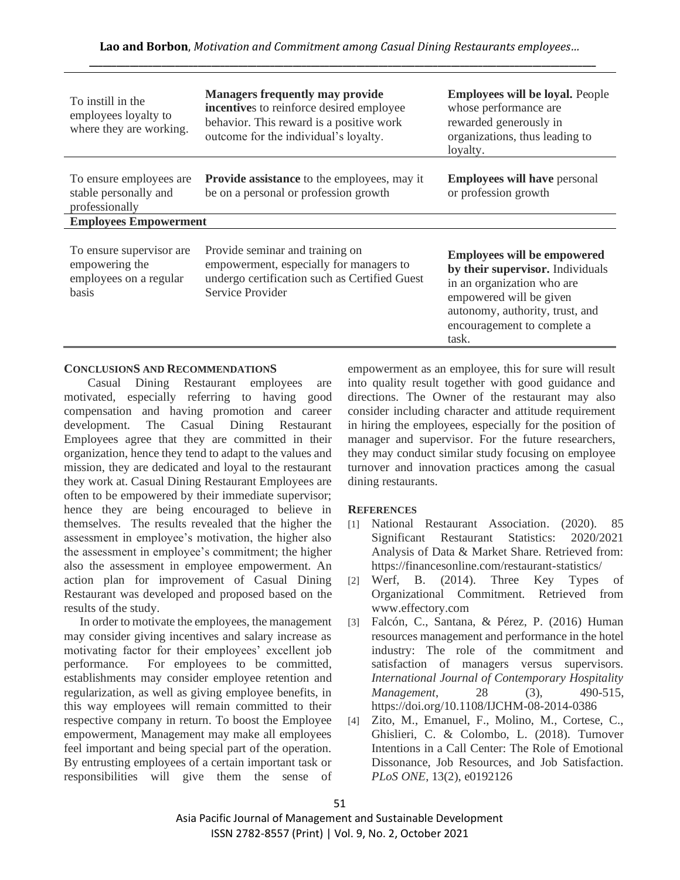| To instill in the<br>employees loyalty to<br>where they are working.          | <b>Managers frequently may provide</b><br>incentives to reinforce desired employee<br>behavior. This reward is a positive work<br>outcome for the individual's loyalty. | <b>Employees will be loyal. People</b><br>whose performance are<br>rewarded generously in<br>organizations, thus leading to<br>loyalty.                                                                    |  |
|-------------------------------------------------------------------------------|-------------------------------------------------------------------------------------------------------------------------------------------------------------------------|------------------------------------------------------------------------------------------------------------------------------------------------------------------------------------------------------------|--|
| To ensure employees are<br>stable personally and<br>professionally            | <b>Provide assistance</b> to the employees, may it<br>be on a personal or profession growth                                                                             | <b>Employees will have personal</b><br>or profession growth                                                                                                                                                |  |
| <b>Employees Empowerment</b>                                                  |                                                                                                                                                                         |                                                                                                                                                                                                            |  |
| To ensure supervisor are<br>empowering the<br>employees on a regular<br>basis | Provide seminar and training on<br>empowerment, especially for managers to<br>undergo certification such as Certified Guest<br>Service Provider                         | <b>Employees will be empowered</b><br>by their supervisor. Individuals<br>in an organization who are<br>empowered will be given<br>autonomy, authority, trust, and<br>encouragement to complete a<br>task. |  |

## **CONCLUSIONS AND RECOMMENDATIONS**

Casual Dining Restaurant employees are motivated, especially referring to having good compensation and having promotion and career development. The Casual Dining Restaurant Employees agree that they are committed in their organization, hence they tend to adapt to the values and mission, they are dedicated and loyal to the restaurant they work at. Casual Dining Restaurant Employees are often to be empowered by their immediate supervisor; hence they are being encouraged to believe in themselves. The results revealed that the higher the assessment in employee's motivation, the higher also the assessment in employee's commitment; the higher also the assessment in employee empowerment. An action plan for improvement of Casual Dining Restaurant was developed and proposed based on the results of the study.

In order to motivate the employees, the management may consider giving incentives and salary increase as motivating factor for their employees' excellent job performance. For employees to be committed, establishments may consider employee retention and regularization, as well as giving employee benefits, in this way employees will remain committed to their respective company in return. To boost the Employee empowerment, Management may make all employees feel important and being special part of the operation. By entrusting employees of a certain important task or responsibilities will give them the sense of

empowerment as an employee, this for sure will result into quality result together with good guidance and directions. The Owner of the restaurant may also consider including character and attitude requirement in hiring the employees, especially for the position of manager and supervisor. For the future researchers, they may conduct similar study focusing on employee turnover and innovation practices among the casual dining restaurants.

## **REFERENCES**

- [1] National Restaurant Association. (2020). 85 Significant Restaurant Statistics: 2020/2021 Analysis of Data & Market Share. Retrieved from: https://financesonline.com/restaurant-statistics/
- [2] Werf, B. (2014). Three Key Types of Organizational Commitment. Retrieved from www.effectory.com
- [3] Falcón, C., Santana, & Pérez, P. (2016) Human resources management and performance in the hotel industry: The role of the commitment and satisfaction of managers versus supervisors. *International Journal of Contemporary Hospitality Management*, 28 (3), 490-515, https://doi.org/10.1108/IJCHM-08-2014-0386
- [4] Zito, M., Emanuel, F., Molino, M., Cortese, C., Ghislieri, C. & Colombo, L. (2018). Turnover Intentions in a Call Center: The Role of Emotional Dissonance, Job Resources, and Job Satisfaction. *PLoS ONE*, 13(2), e0192126